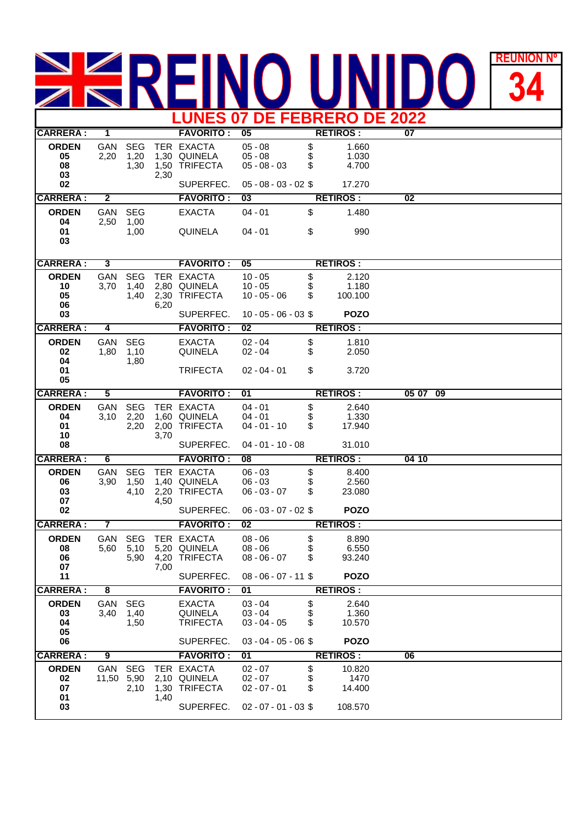## **REUNION REUNIÓN Nº LUNES 07 DE FEBRERO DE 2022**

| LUNES VI DE FEBRERU DE 2022          |                         |                            |      |                                                          |                                                                 |                |                                    |                          |  |  |  |
|--------------------------------------|-------------------------|----------------------------|------|----------------------------------------------------------|-----------------------------------------------------------------|----------------|------------------------------------|--------------------------|--|--|--|
| <b>CARRERA:</b>                      | $\mathbf 1$             |                            |      | <b>FAVORITO:</b>                                         | 05                                                              |                | <b>RETIROS:</b>                    | 07                       |  |  |  |
| <b>ORDEN</b><br>05<br>08             | GAN<br>2,20             | <b>SEG</b><br>1,20<br>1,30 |      | TER EXACTA<br>1,30 QUINELA<br>1,50 TRIFECTA              | $05 - 08$<br>$05 - 08$<br>$05 - 08 - 03$                        | \$<br>\$<br>S  | 1.660<br>1.030<br>4.700            |                          |  |  |  |
| 03<br>02                             |                         |                            | 2,30 | SUPERFEC.                                                | $05 - 08 - 03 - 02$ \$                                          |                | 17.270                             |                          |  |  |  |
| <b>CARRERA:</b>                      | $\mathbf{2}$            |                            |      | <b>FAVORITO:</b>                                         | 0 <sup>3</sup>                                                  |                | <b>RETIROS:</b>                    | 02                       |  |  |  |
| <b>ORDEN</b>                         | GAN                     | <b>SEG</b>                 |      | <b>EXACTA</b>                                            | $04 - 01$                                                       | \$             | 1.480                              |                          |  |  |  |
| 04<br>01<br>03                       | 2,50                    | 1,00<br>1,00               |      | <b>QUINELA</b>                                           | $04 - 01$                                                       | \$             | 990                                |                          |  |  |  |
| <b>CARRERA:</b>                      | 3                       |                            |      | <b>FAVORITO:</b>                                         | 05                                                              |                | <b>RETIROS:</b>                    |                          |  |  |  |
| <b>ORDEN</b>                         | GAN                     | <b>SEG</b>                 |      | TER EXACTA                                               | $10 - 05$                                                       | \$             | 2.120                              |                          |  |  |  |
| 10<br>05<br>06                       | 3,70                    | 1,40<br>1,40               | 6,20 | 2,80 QUINELA<br>2,30 TRIFECTA                            | $10 - 05$<br>$10 - 05 - 06$                                     | \$<br>\$       | 1.180<br>100.100                   |                          |  |  |  |
| 03                                   |                         |                            |      | SUPERFEC.                                                | $10 - 05 - 06 - 03$ \$                                          |                | <b>POZO</b>                        |                          |  |  |  |
| <b>CARRERA:</b>                      | 4                       |                            |      | <b>FAVORITO:</b>                                         | $\overline{02}$                                                 |                | <b>RETIROS:</b>                    |                          |  |  |  |
| <b>ORDEN</b><br>02<br>04             | GAN<br>1,80             | <b>SEG</b><br>1,10<br>1,80 |      | <b>EXACTA</b><br><b>QUINELA</b>                          | $02 - 04$<br>$02 - 04$                                          | \$<br>\$       | 1.810<br>2.050                     |                          |  |  |  |
| 01<br>05                             |                         |                            |      | <b>TRIFECTA</b>                                          | $02 - 04 - 01$                                                  | \$             | 3.720                              |                          |  |  |  |
| <b>CARRERA:</b>                      | 5                       |                            |      | <b>FAVORITO:</b>                                         | 01                                                              |                | <b>RETIROS:</b>                    | 05 07<br>$\overline{09}$ |  |  |  |
| <b>ORDEN</b><br>04<br>01<br>10<br>08 | GAN<br>3,10             | <b>SEG</b><br>2,20<br>2,20 | 3,70 | TER EXACTA<br>1,60 QUINELA<br>2,00 TRIFECTA<br>SUPERFEC. | $04 - 01$<br>$04 - 01$<br>$04 - 01 - 10$<br>$04 - 01 - 10 - 08$ | \$<br>\$<br>\$ | 2.640<br>1.330<br>17.940<br>31.010 |                          |  |  |  |
| <b>CARRERA:</b>                      | 6                       |                            |      | <b>FAVORITO:</b>                                         | $\overline{08}$                                                 |                | <b>RETIROS:</b>                    | 04 10                    |  |  |  |
| <b>ORDEN</b>                         | <b>GAN</b>              | <b>SEG</b>                 |      | TER EXACTA                                               | $06 - 03$                                                       | \$             | 8.400                              |                          |  |  |  |
| 06<br>03                             | 3,90                    | 1,50<br>4,10               |      | 1,40 QUINELA<br>2,20 TRIFECTA                            | $06 - 03$<br>$06 - 03 - 07$                                     | \$<br>S        | 2.560<br>23.080                    |                          |  |  |  |
| 07<br>02                             |                         |                            | 4,50 | SUPERFEC.                                                | $06 - 03 - 07 - 02$ \$                                          |                | <b>POZO</b>                        |                          |  |  |  |
|                                      |                         |                            |      |                                                          |                                                                 |                |                                    |                          |  |  |  |
| <b>CARRERA:</b>                      | $\overline{7}$          |                            |      | <b>FAVORITO:</b>                                         | $\overline{02}$                                                 |                | <b>RETIROS:</b>                    |                          |  |  |  |
| <b>ORDEN</b><br>08                   | GAN<br>5,60             | <b>SEG</b><br>5,10         |      | TER EXACTA<br>5,20 QUINELA                               | $08 - 06$<br>$08 - 06$                                          | \$<br>\$       | 8.890<br>6.550                     |                          |  |  |  |
| 06<br>07                             |                         |                            |      | 5,90  4,20  TRIFECTA                                     | $08 - 06 - 07$                                                  | \$             | 93.240                             |                          |  |  |  |
| 11                                   |                         |                            | 7,00 | SUPERFEC.                                                | $08 - 06 - 07 - 11$ \$                                          |                | <b>POZO</b>                        |                          |  |  |  |
| <b>CARRERA:</b>                      | $\overline{\mathbf{8}}$ |                            |      | <b>FAVORITO:</b>                                         | 01                                                              |                | <b>RETIROS:</b>                    |                          |  |  |  |
| <b>ORDEN</b>                         | GAN                     | <b>SEG</b>                 |      | <b>EXACTA</b>                                            | $03 - 04$                                                       | \$             | 2.640                              |                          |  |  |  |
| 03<br>04                             | 3,40                    | 1,40<br>1,50               |      | QUINELA<br><b>TRIFECTA</b>                               | $03 - 04$<br>$03 - 04 - 05$                                     | \$<br>S        | 1.360<br>10.570                    |                          |  |  |  |
| 05<br>06                             |                         |                            |      | SUPERFEC.                                                | $03 - 04 - 05 - 06$ \$                                          |                | <b>POZO</b>                        |                          |  |  |  |
| <b>CARRERA:</b>                      | 9                       |                            |      | <b>FAVORITO:</b>                                         | 01                                                              |                | <b>RETIROS:</b>                    | 06                       |  |  |  |
| <b>ORDEN</b><br>02<br>07<br>01       | GAN<br>11,50 5,90       | <b>SEG</b><br>2,10         | 1,40 | TER EXACTA<br>2,10 QUINELA<br>1,30 TRIFECTA              | $02 - 07$<br>$02 - 07$<br>$02 - 07 - 01$                        | \$<br>\$<br>\$ | 10.820<br>1470<br>14.400           |                          |  |  |  |
| 03                                   |                         |                            |      | SUPERFEC.                                                | $02 - 07 - 01 - 03$ \$                                          |                | 108.570                            |                          |  |  |  |